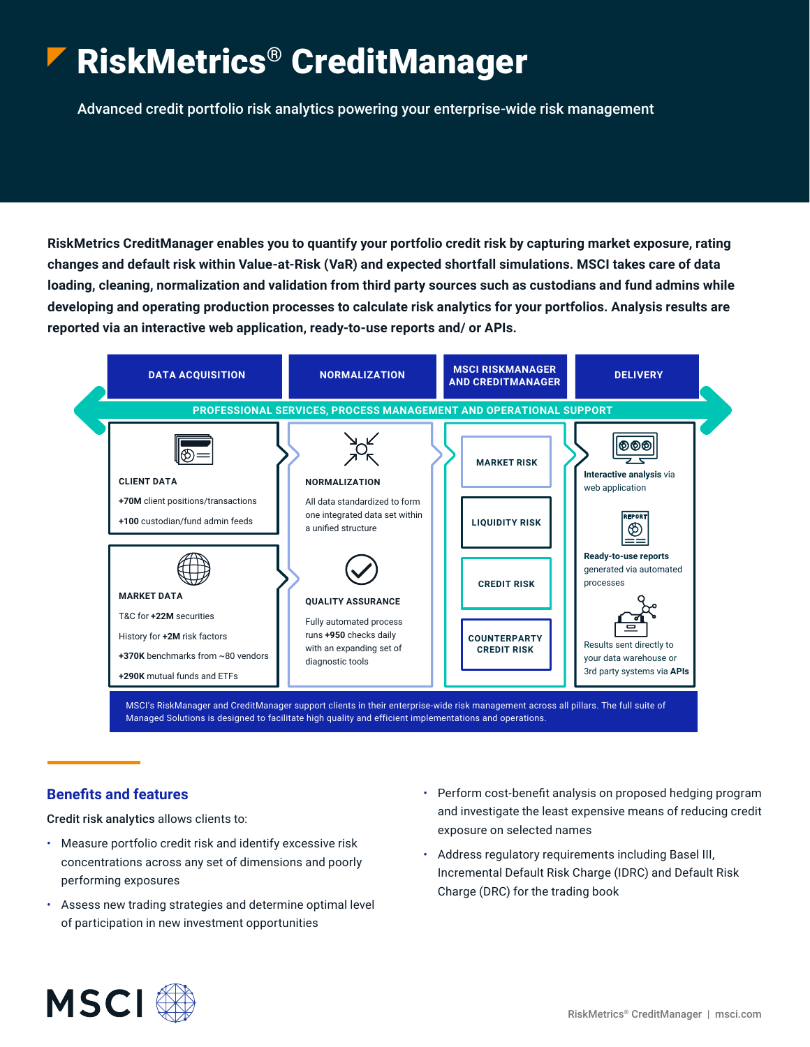# RiskMetrics® CreditManager

Advanced credit portfolio risk analytics powering your enterprise-wide risk management

**RiskMetrics CreditManager enables you to quantify your portfolio credit risk by capturing market exposure, rating changes and default risk within Value-at-Risk (VaR) and expected shortfall simulations. MSCI takes care of data loading, cleaning, normalization and validation from third party sources such as custodians and fund admins while developing and operating production processes to calculate risk analytics for your portfolios. Analysis results are reported via an interactive web application, ready-to-use reports and/ or APIs.** 



#### **Benefits and features**

Credit risk analytics allows clients to:

- Measure portfolio credit risk and identify excessive risk concentrations across any set of dimensions and poorly performing exposures
- Assess new trading strategies and determine optimal level of participation in new investment opportunities
- Perform cost-benefit analysis on proposed hedging program and investigate the least expensive means of reducing credit exposure on selected names
- Address regulatory requirements including Basel III, Incremental Default Risk Charge (IDRC) and Default Risk Charge (DRC) for the trading book